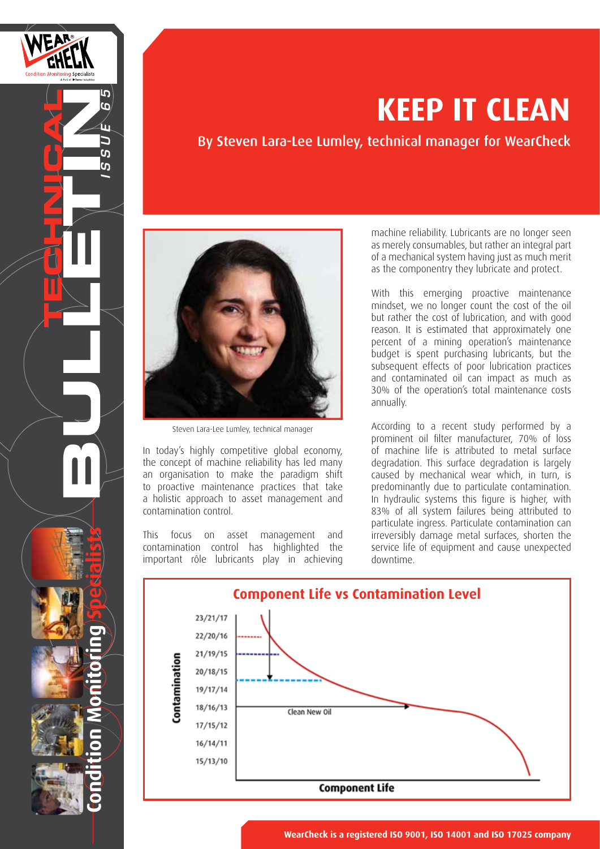

# **KEEP IT CLEAN**

By Steven Lara-Lee Lumley, technical manager for WearCheck



Steven Lara-Lee Lumley, technical manager

In today's highly competitive global economy, the concept of machine reliability has led many an organisation to make the paradigm shift to proactive maintenance practices that take a holistic approach to asset management and contamination control.

This focus on asset management and contamination control has highlighted the important rôle lubricants play in achieving machine reliability. Lubricants are no longer seen as merely consumables, but rather an integral part of a mechanical system having just as much merit as the componentry they lubricate and protect.

With this emerging proactive maintenance mindset, we no longer count the cost of the oil but rather the cost of lubrication, and with good reason. It is estimated that approximately one percent of a mining operation's maintenance budget is spent purchasing lubricants, but the subsequent effects of poor lubrication practices and contaminated oil can impact as much as 30% of the operation's total maintenance costs annually.

According to a recent study performed by a prominent oil filter manufacturer, 70% of loss of machine life is attributed to metal surface degradation. This surface degradation is largely caused by mechanical wear which, in turn, is predominantly due to particulate contamination. In hydraulic systems this figure is higher, with 83% of all system failures being attributed to particulate ingress. Particulate contamination can irreversibly damage metal surfaces, shorten the service life of equipment and cause unexpected downtime.

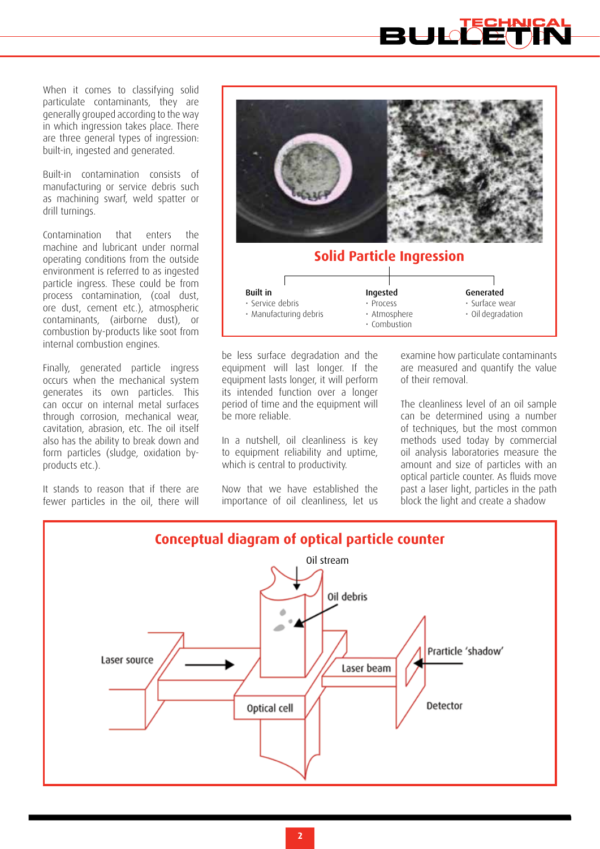When it comes to classifying solid particulate contaminants, they are generally grouped according to the way in which ingression takes place. There are three general types of ingression: built-in, ingested and generated.

Built-in contamination consists of manufacturing or service debris such as machining swarf, weld spatter or drill turnings.

Contamination that enters the machine and lubricant under normal operating conditions from the outside environment is referred to as ingested particle ingress. These could be from process contamination, (coal dust, ore dust, cement etc.), atmospheric contaminants, (airborne dust), or combustion by-products like soot from internal combustion engines.

Finally, generated particle ingress occurs when the mechanical system generates its own particles. This can occur on internal metal surfaces through corrosion, mechanical wear, cavitation, abrasion, etc. The oil itself also has the ability to break down and form particles (sludge, oxidation byproducts etc.).

It stands to reason that if there are fewer particles in the oil, there will



## **Solid Particle Ingression**

| <b>Built in</b>        | Ingested     | Generated               |  |  |
|------------------------|--------------|-------------------------|--|--|
| · Service debris       | · Process    | · Surface wear          |  |  |
| · Manufacturing debris | · Atmosphere | $\cdot$ Oil degradation |  |  |
|                        | • Combustion |                         |  |  |

be less surface degradation and the equipment will last longer. If the equipment lasts longer, it will perform its intended function over a longer period of time and the equipment will be more reliable.

In a nutshell, oil cleanliness is key to equipment reliability and uptime, which is central to productivity.

Now that we have established the importance of oil cleanliness, let us

examine how particulate contaminants are measured and quantify the value of their removal.

The cleanliness level of an oil sample can be determined using a number of techniques, but the most common methods used today by commercial oil analysis laboratories measure the amount and size of particles with an optical particle counter. As fluids move past a laser light, particles in the path block the light and create a shadow

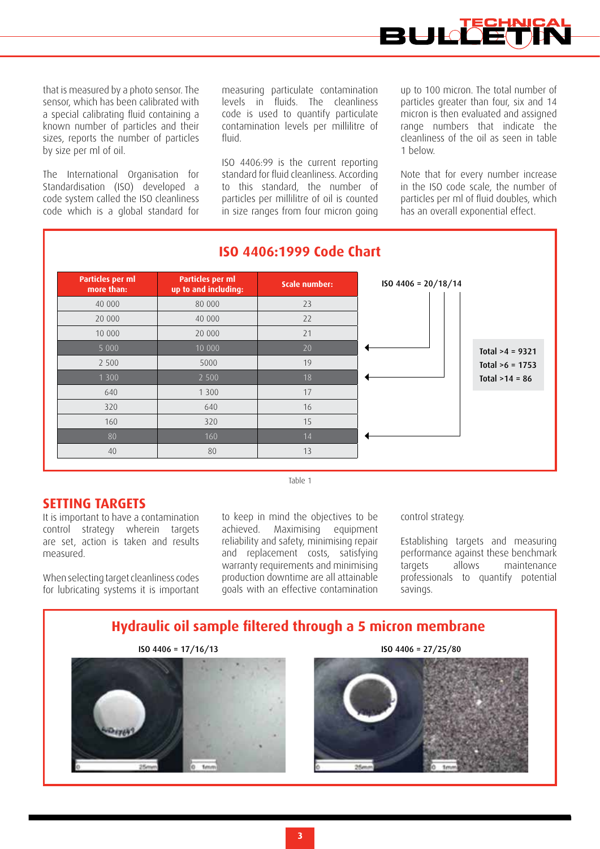

that is measured by a photo sensor. The sensor, which has been calibrated with a special calibrating fluid containing a known number of particles and their sizes, reports the number of particles by size per ml of oil.

The International Organisation for Standardisation (ISO) developed a code system called the ISO cleanliness code which is a global standard for measuring particulate contamination levels in fluids. The cleanliness code is used to quantify particulate contamination levels per millilitre of fluid.

ISO 4406:99 is the current reporting standard for fluid cleanliness. According to this standard, the number of particles per millilitre of oil is counted in size ranges from four micron going up to 100 micron. The total number of particles greater than four, six and 14 micron is then evaluated and assigned range numbers that indicate the cleanliness of the oil as seen in table 1 below.

Note that for every number increase in the ISO code scale, the number of particles per ml of fluid doubles, which has an overall exponential effect.



### **ISO 4406:1999 Code Chart**

#### **SETTING TARGETS**

It is important to have a contamination control strategy wherein targets are set, action is taken and results measured.

When selecting target cleanliness codes for lubricating systems it is important to keep in mind the objectives to be achieved. Maximising equipment reliability and safety, minimising repair and replacement costs, satisfying warranty requirements and minimising production downtime are all attainable goals with an effective contamination

Table 1

#### control strategy.

Establishing targets and measuring performance against these benchmark targets allows maintenance professionals to quantify potential savings.

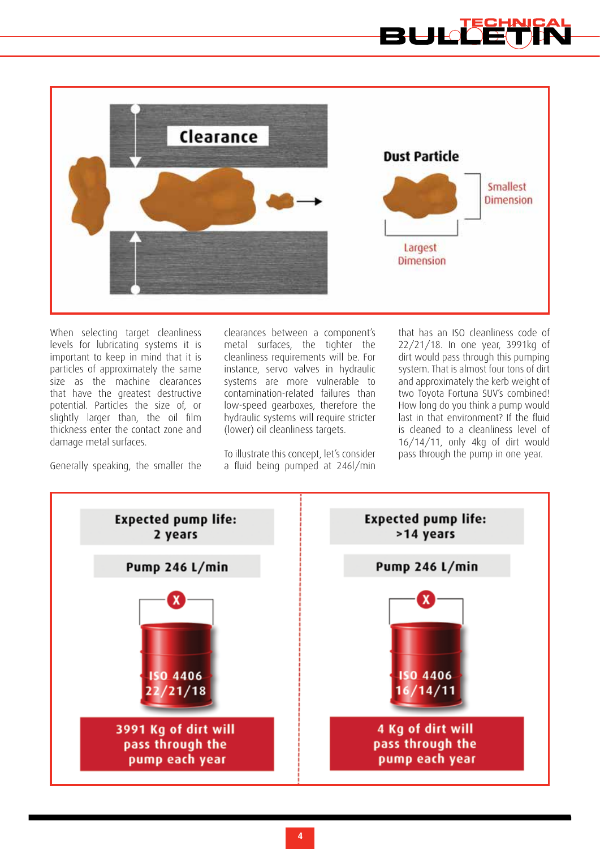



When selecting target cleanliness levels for lubricating systems it is important to keep in mind that it is particles of approximately the same size as the machine clearances that have the greatest destructive potential. Particles the size of, or slightly larger than, the oil film thickness enter the contact zone and damage metal surfaces.

Generally speaking, the smaller the

clearances between a component's metal surfaces, the tighter the cleanliness requirements will be. For instance, servo valves in hydraulic systems are more vulnerable to contamination-related failures than low-speed gearboxes, therefore the hydraulic systems will require stricter (lower) oil cleanliness targets.

To illustrate this concept, let's consider a fluid being pumped at 246l/min

that has an ISO cleanliness code of 22/21/18. In one year, 3991kg of dirt would pass through this pumping system. That is almost four tons of dirt and approximately the kerb weight of two Toyota Fortuna SUV's combined! How long do you think a pump would last in that environment? If the fluid is cleaned to a cleanliness level of 16/14/11, only 4kg of dirt would pass through the pump in one year.

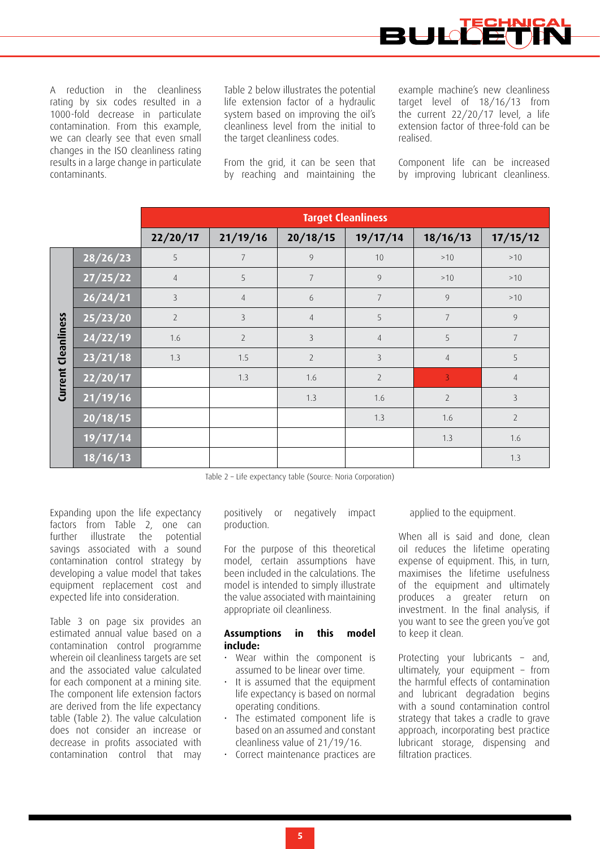

A reduction in the cleanliness rating by six codes resulted in a 1000-fold decrease in particulate contamination. From this example, we can clearly see that even small changes in the ISO cleanliness rating results in a large change in particulate contaminants.

Table 2 below illustrates the potential life extension factor of a hydraulic system based on improving the oil's cleanliness level from the initial to the target cleanliness codes.

From the grid, it can be seen that by reaching and maintaining the

example machine's new cleanliness target level of 18/16/13 from the current 22/20/17 level, a life extension factor of three-fold can be realised.

Component life can be increased by improving lubricant cleanliness.

|             |                              | <b>Target Cleanliness</b> |                |                |                |                |                |  |
|-------------|------------------------------|---------------------------|----------------|----------------|----------------|----------------|----------------|--|
|             |                              | 22/20/17                  | 21/19/16       | 20/18/15       | 19/17/14       | 18/16/13       | 17/15/12       |  |
|             | 28/26/23                     | 5                         | 7              | 9              | 10             | >10            | >10            |  |
|             | 27/25/22                     | $\overline{4}$            | 5              | $\overline{7}$ | 9              | >10            | >10            |  |
|             | $\frac{1}{26}/\frac{24}{21}$ | $\mathcal{E}$             | $\overline{4}$ | 6              | $\overline{7}$ | 9              | >10            |  |
|             | 25/23/20                     | $\overline{2}$            | $\overline{3}$ | $\overline{4}$ | 5              | $\overline{7}$ | 9              |  |
| Cleanliness | 24/22/19                     | 1.6                       | $\overline{2}$ | $\overline{3}$ | $\overline{4}$ | 5              | $\overline{7}$ |  |
|             | 23/21/18                     | 1.3                       | 1.5            | $\overline{2}$ | $\overline{3}$ | $\overline{4}$ | 5              |  |
| Current     | 22/20/17                     |                           | 1.3            | 1.6            | $\overline{2}$ | $\overline{3}$ | $\overline{4}$ |  |
|             | 21/19/16                     |                           |                | 1.3            | 1.6            | $\overline{2}$ | 3              |  |
|             | 20/18/15                     |                           |                |                | 1.3            | 1.6            | $\overline{2}$ |  |
|             | 19/17/14                     |                           |                |                |                | 1.3            | 1.6            |  |
|             | 18/16/13                     |                           |                |                |                |                | 1.3            |  |

Table 2 – Life expectancy table (Source: Noria Corporation)

Expanding upon the life expectancy factors from Table 2, one can further illustrate the potential savings associated with a sound contamination control strategy by developing a value model that takes equipment replacement cost and expected life into consideration.

Table 3 on page six provides an estimated annual value based on a contamination control programme wherein oil cleanliness targets are set and the associated value calculated for each component at a mining site. The component life extension factors are derived from the life expectancy table (Table 2). The value calculation does not consider an increase or decrease in profits associated with contamination control that may positively or negatively impact production.

For the purpose of this theoretical model, certain assumptions have been included in the calculations. The model is intended to simply illustrate the value associated with maintaining appropriate oil cleanliness.

#### **Assumptions in this model include:**

- Wear within the component is assumed to be linear over time.
- It is assumed that the equipment life expectancy is based on normal operating conditions.
- The estimated component life is based on an assumed and constant cleanliness value of 21/19/16.
- Correct maintenance practices are

applied to the equipment.

When all is said and done, clean oil reduces the lifetime operating expense of equipment. This, in turn, maximises the lifetime usefulness of the equipment and ultimately produces a greater return on investment. In the final analysis, if you want to see the green you've got to keep it clean.

Protecting your lubricants – and, ultimately, your equipment – from the harmful effects of contamination and lubricant degradation begins with a sound contamination control strategy that takes a cradle to grave approach, incorporating best practice lubricant storage, dispensing and filtration practices.